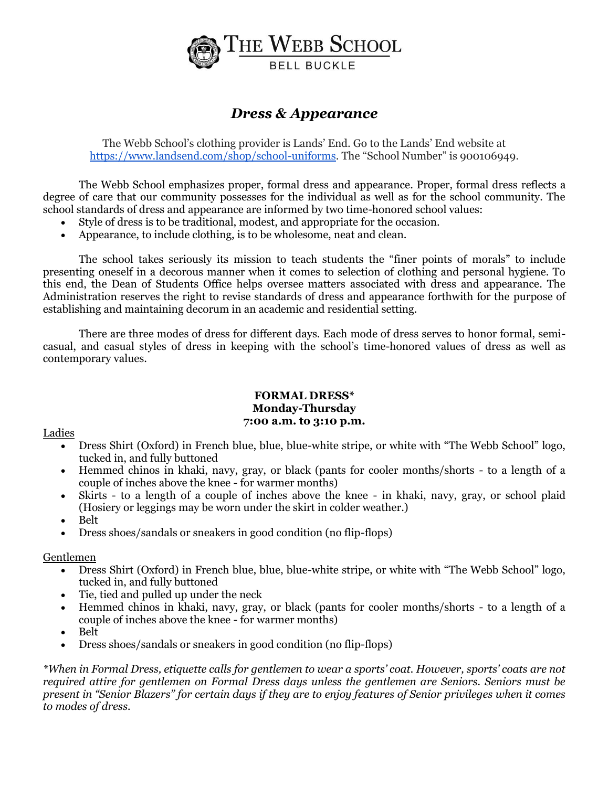

# *Dress & Appearance*

The Webb School's clothing provider is Lands' End. Go to the Lands' End website at [https://www.landsend.com/shop/school-uniforms.](https://www.landsend.com/shop/school-uniforms) The "School Number" is 900106949.

The Webb School emphasizes proper, formal dress and appearance. Proper, formal dress reflects a degree of care that our community possesses for the individual as well as for the school community. The school standards of dress and appearance are informed by two time-honored school values:

- Style of dress is to be traditional, modest, and appropriate for the occasion.
- Appearance, to include clothing, is to be wholesome, neat and clean.

The school takes seriously its mission to teach students the "finer points of morals" to include presenting oneself in a decorous manner when it comes to selection of clothing and personal hygiene. To this end, the Dean of Students Office helps oversee matters associated with dress and appearance. The Administration reserves the right to revise standards of dress and appearance forthwith for the purpose of establishing and maintaining decorum in an academic and residential setting.

There are three modes of dress for different days. Each mode of dress serves to honor formal, semicasual, and casual styles of dress in keeping with the school's time-honored values of dress as well as contemporary values.

# **FORMAL DRESS\* Monday-Thursday 7:00 a.m. to 3:10 p.m.**

#### Ladies

- Dress Shirt (Oxford) in French blue, blue, blue-white stripe, or white with "The Webb School" logo, tucked in, and fully buttoned
- Hemmed chinos in khaki, navy, gray, or black (pants for cooler months/shorts to a length of a couple of inches above the knee - for warmer months)
- Skirts to a length of a couple of inches above the knee in khaki, navy, gray, or school plaid (Hosiery or leggings may be worn under the skirt in colder weather.)
- Belt
- Dress shoes/sandals or sneakers in good condition (no flip-flops)

# Gentlemen

- Dress Shirt (Oxford) in French blue, blue, blue-white stripe, or white with "The Webb School" logo, tucked in, and fully buttoned
- Tie, tied and pulled up under the neck
- Hemmed chinos in khaki, navy, gray, or black (pants for cooler months/shorts to a length of a couple of inches above the knee - for warmer months)
- Belt
- Dress shoes/sandals or sneakers in good condition (no flip-flops)

*\*When in Formal Dress, etiquette calls for gentlemen to wear a sports' coat. However, sports' coats are not required attire for gentlemen on Formal Dress days unless the gentlemen are Seniors. Seniors must be present in "Senior Blazers" for certain days if they are to enjoy features of Senior privileges when it comes to modes of dress.*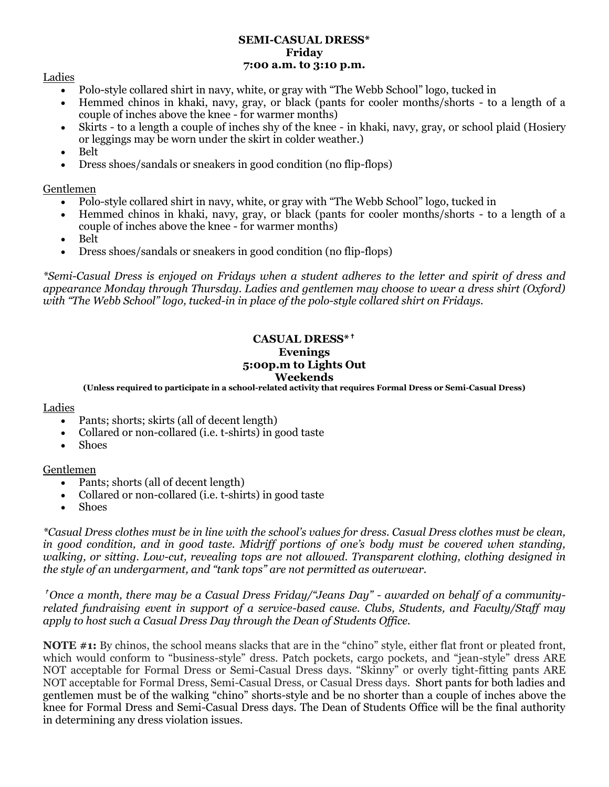#### **SEMI-CASUAL DRESS\* Friday 7:00 a.m. to 3:10 p.m.**

# Ladies

- Polo-style collared shirt in navy, white, or gray with "The Webb School" logo, tucked in
- Hemmed chinos in khaki, navy, gray, or black (pants for cooler months/shorts to a length of a couple of inches above the knee - for warmer months)
- Skirts to a length a couple of inches shy of the knee in khaki, navy, gray, or school plaid (Hosiery or leggings may be worn under the skirt in colder weather.)
- Belt
- Dress shoes/sandals or sneakers in good condition (no flip-flops)

# Gentlemen

- Polo-style collared shirt in navy, white, or gray with "The Webb School" logo, tucked in
- Hemmed chinos in khaki, navy, gray, or black (pants for cooler months/shorts to a length of a couple of inches above the knee - for warmer months)
- Belt
- Dress shoes/sandals or sneakers in good condition (no flip-flops)

*\*Semi-Casual Dress is enjoyed on Fridays when a student adheres to the letter and spirit of dress and appearance Monday through Thursday. Ladies and gentlemen may choose to wear a dress shirt (Oxford) with "The Webb School" logo, tucked-in in place of the polo-style collared shirt on Fridays.*

#### **CASUAL DRESS\*** ✝ **Evenings 5:00p.m to Lights Out Weekends**

**(Unless required to participate in a school-related activity that requires Formal Dress or Semi-Casual Dress)**

# Ladies

- Pants; shorts; skirts (all of decent length)
- Collared or non-collared (i.e. t-shirts) in good taste
- Shoes

# Gentlemen

- Pants: shorts (all of decent length)
- Collared or non-collared (i.e. t-shirts) in good taste
- Shoes

*\*Casual Dress clothes must be in line with the school's values for dress. Casual Dress clothes must be clean, in good condition, and in good taste. Midriff portions of one's body must be covered when standing, walking, or sitting. Low-cut, revealing tops are not allowed. Transparent clothing, clothing designed in the style of an undergarment, and "tank tops" are not permitted as outerwear.*

✝ *Once a month, there may be a Casual Dress Friday/"Jeans Day" - awarded on behalf of a communityrelated fundraising event in support of a service-based cause. Clubs, Students, and Faculty/Staff may apply to host such a Casual Dress Day through the Dean of Students Office.* 

**NOTE #1:** By chinos, the school means slacks that are in the "chino" style, either flat front or pleated front, which would conform to "business-style" dress. Patch pockets, cargo pockets, and "jean-style" dress ARE NOT acceptable for Formal Dress or Semi-Casual Dress days. "Skinny" or overly tight-fitting pants ARE NOT acceptable for Formal Dress, Semi-Casual Dress, or Casual Dress days. Short pants for both ladies and gentlemen must be of the walking "chino" shorts-style and be no shorter than a couple of inches above the knee for Formal Dress and Semi-Casual Dress days. The Dean of Students Office will be the final authority in determining any dress violation issues.